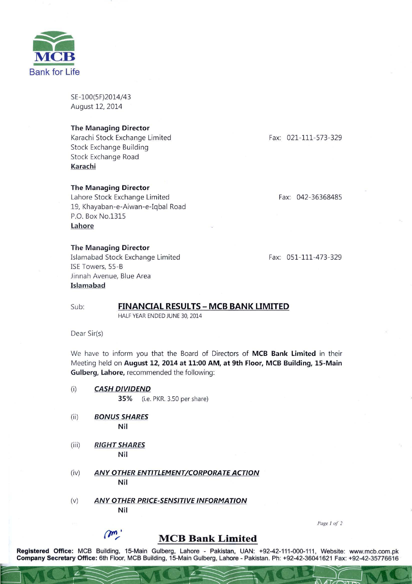

SE-100(5F)2014/43 August 12, 2014

## The Managing Director

Ka rachi Stock Exchange Limited Stock Exchange Building Stock Exchange Road Karachi

## The Managing Director

Lahore Stock Exchange Limited 19, Khayaban-e-Aiwan-e-Iqbal Road P.O. Box NO.1315 Lahore

### The Managing Director

Islamabad Stock Exchange Limited ISE Towers, 55-B Jinnah Avenue, Blue Area Islamabad

Fax: 021-111-S73-329

Fax: 042-36368485

Fax: 051-111-473-329

## Sub: **FINANCIAL RESULTS - MCB BANK LIMITED**

HALF YEAR ENDED JUNE 30, 2014

Dear Sir(s)

We have to inform you that the Board of Directors of MCB Bank Limited in their Meeting held on August 12, 2014 at 11:00 AM, at 9th Floor, MCB Building, IS-Main Gulberg, Lahore, recommended the following:

- (i) *CASH DIVIDEND*  3S% (i.e. PKR. 3.50 per share)
- (ii) *BONUS SHARES*  Nil
- (iii) *RIGHT SHARES*  Nil
- (iv) *ANY OTHER ENTITLEMENT/CORPORATE ACTION*  Nil
- (v) *ANY OTHER PRICE-SENSITIVE INFORMATION*  Nil

Page 1 of 2

# m

# **MCB Bank Limited**

Registered Office: MCB Building, 15-Main Gulberg, Lahore - Pakistan, UAN: +92-42-111-000-111, Website: www.mcb.com.pk Company Secretary Office: 6th Floor, MCB Building, 15-Main Gulberg, Lahore - Pakistan, UAN: +92-42-111-000-111, Website: WWW.mcb.com.pk<br>Company Secretary Office: 6th Floor, MCB Building, 15-Main Gulberg, Lahore - Pakistan.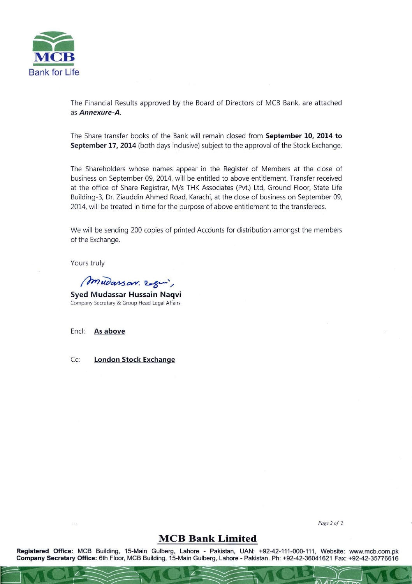

The Financial Results approved by the Board of Directors of MCB Bank, are attached as Annexure-A.

The Share transfer books of the Bank will remain closed from September 10, 2014 to September 17, 2014 (both days inclusive) subject to the approval of the Stock Exchange.

The Shareholders whose names appear in the Register of Members at the close of business on September 09, 2014, will be entitled to above entitlement. Transfer received at the office of Share Registrar, M/s THK Associates (Pvt.) Ltd, Ground Floor, State Life Building-3, Dr. Ziauddin Ahmed Road, Karachi, at the close of business on September 09, 2014, will be treated in time for the purpose of above entitlement to the transferees.

We will be sending 200 copies of printed Accounts for distribution amongst the members of the Exchange.

Yours truly

mudarson. 2 gin,

Syed Mudassar Hussain Naqvi Company Secretary & Group Head Legal Affairs

Encl: As above

Cc: London Stock Exchange

*Page20f 2* 

# **MCB Bank Limited**

Registered Office: MCB Building, 15-Main Gulberg, Lahore - Pakistan, UAN: +92-42-111-000-111, Website: www.mcb.com.pk Company Secretary Office: 6th Floor, MCB Building, 15-Main Gulberg, Lahore - Pakistan. Ph: +92-42-36041621 Fax: +92-42-35776616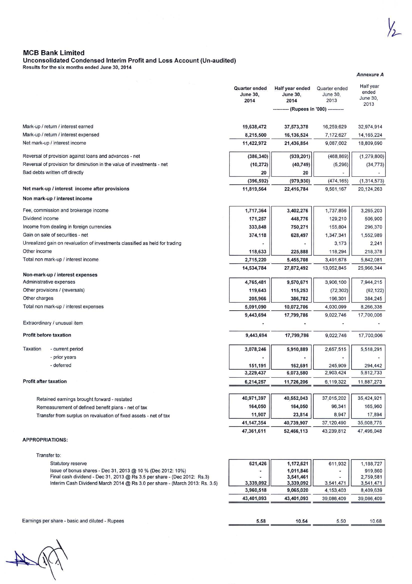Annexure A

## MCB Bank Limited

#### Unconsolidated Condensed Interim Profit and Loss Account (Un-audited)

Results for the six months ended June 30, 2014

|                                                                              |                                                                                                                                                         | <b>Quarter ended</b><br><b>June 30,</b><br>2014 | Half year ended<br><b>June 30,</b><br>2014 | Quarter ended<br>June 30,<br>2013 | Half year<br>ended<br>June 30, |
|------------------------------------------------------------------------------|---------------------------------------------------------------------------------------------------------------------------------------------------------|-------------------------------------------------|--------------------------------------------|-----------------------------------|--------------------------------|
|                                                                              |                                                                                                                                                         |                                                 | ---- (Rupees in '000) ----------           |                                   | 2013                           |
|                                                                              | Mark-up / return / interest earned                                                                                                                      | 19,638,472                                      | 37,573,378                                 | 16,259,629                        | 32,974,914                     |
|                                                                              | Mark-up / return / interest expensed                                                                                                                    | 8,215,500                                       | 16,136,524                                 | 7,172,627                         | 14, 165, 224                   |
| Net mark-up / interest income                                                |                                                                                                                                                         | 11,422,972                                      | 21,436,854                                 | 9,087,002                         | 18,809,690                     |
|                                                                              |                                                                                                                                                         |                                                 |                                            |                                   |                                |
|                                                                              | Reversal of provision against loans and advances - net                                                                                                  | (386, 340)                                      | (939, 201)                                 | (468, 869)                        | (1, 279, 800)                  |
|                                                                              | Reversal of provision for diminution in the value of investments - net                                                                                  | (10, 272)                                       | (40, 749)                                  | (5, 296)                          | (34, 773)                      |
|                                                                              | Bad debts written off directly                                                                                                                          | 20                                              | 20                                         |                                   |                                |
|                                                                              | Net mark-up / interest income after provisions                                                                                                          | (396, 592)<br>11,819,564                        | (979, 930)<br>22,416,784                   | (474, 165)<br>9,561,167           | (1, 314, 573)<br>20,124,263    |
|                                                                              | Non mark-up / interest income                                                                                                                           |                                                 |                                            |                                   |                                |
|                                                                              | Fee, commission and brokerage income                                                                                                                    | 1,717,364                                       | 3,402,276                                  | 1,737,856                         | 3,265,203                      |
| Dividend income                                                              |                                                                                                                                                         | 171,257                                         | 448,776                                    | 129,210                           | 506,900                        |
|                                                                              | Income from dealing in foreign currencies                                                                                                               | 333,848                                         | 750,271                                    | 155,804                           | 296,370                        |
|                                                                              | Gain on sale of securities - net                                                                                                                        | 374,118                                         | 628,497                                    | 1,347,341                         | 1,552,989                      |
| Unrealized gain on revaluation of investments classified as held for trading |                                                                                                                                                         |                                                 |                                            | 3,173                             | 2,241                          |
| Other income                                                                 |                                                                                                                                                         | 118,633                                         | 225,888                                    | 118,294                           | 218,378                        |
|                                                                              | Total non mark-up / interest income                                                                                                                     | 2,715,220                                       | 5,455,708                                  | 3,491,678                         | 5,842,081                      |
|                                                                              |                                                                                                                                                         | 14,534,784                                      | 27,872,492                                 | 13,052,845                        | 25,966,344                     |
|                                                                              | Non-mark-up / interest expenses                                                                                                                         |                                                 |                                            |                                   |                                |
|                                                                              | Administrative expenses                                                                                                                                 | 4,765,481                                       | 9,570,671                                  | 3,906,100                         | 7,944,215                      |
|                                                                              | Other provisions / (reversals)                                                                                                                          | 119,643                                         | 115,253                                    | (72, 302)                         | (62, 122)                      |
| Other charges                                                                |                                                                                                                                                         | 205,966                                         | 386,782                                    | 196,301                           | 384,245                        |
|                                                                              | Total non mark-up / interest expenses                                                                                                                   | 5,091,090                                       | 10,072,706                                 | 4,030,099                         | 8,266,338                      |
|                                                                              | Extraordinary / unusual item                                                                                                                            | 9,443,694                                       | 17,799,786                                 | 9,022,746                         | 17,700,006                     |
|                                                                              | <b>Profit before taxation</b>                                                                                                                           | 9,443,694                                       | 17,799,786                                 | 9,022,746                         | 17,700,006                     |
|                                                                              |                                                                                                                                                         |                                                 |                                            |                                   |                                |
| Taxation                                                                     | - current period                                                                                                                                        | 3,078,246                                       | 5,910,889                                  | 2,657,515                         | 5,518,291                      |
|                                                                              | - prior years                                                                                                                                           |                                                 |                                            |                                   |                                |
|                                                                              | - deferred                                                                                                                                              | 151,191                                         | 162,691<br>6,073,580                       | 245,909<br>2,903.424              | 294,442<br>5,812,733           |
|                                                                              |                                                                                                                                                         | 3,229,437                                       |                                            |                                   |                                |
| <b>Profit after taxation</b>                                                 |                                                                                                                                                         | 6,214,257                                       | 11,726,206                                 | 6,119,322                         | 11,887,273                     |
|                                                                              | Retained earnings brought forward - restated                                                                                                            | 40,971,397                                      | 40,552,043                                 | 37,015,202                        | 35,424,921                     |
|                                                                              | Remeasurement of defined benefit plans - net of tax                                                                                                     | 164,050                                         | 164,050                                    | 96,341                            | 165,960                        |
|                                                                              | Transfer from surplus on revaluation of fixed assets - net of tax                                                                                       | 11,907                                          | 23,814                                     | 8,947                             | 17,894                         |
|                                                                              |                                                                                                                                                         | 41, 147, 354                                    | 40,739,907                                 | 37,120,490                        | 35,608,775                     |
|                                                                              |                                                                                                                                                         | 47,361,611                                      | 52,466,113                                 | 43,239,812                        | 47,496,048                     |
|                                                                              | <b>APPROPRIATIONS:</b>                                                                                                                                  |                                                 |                                            |                                   |                                |
|                                                                              | Transfer to:                                                                                                                                            |                                                 |                                            |                                   |                                |
|                                                                              | Statutory reserve                                                                                                                                       | 621,426                                         | 1,172,621                                  | 611,932                           | 1,188,727                      |
|                                                                              | Issue of bonus shares - Dec 31, 2013 @ 10 % (Dec 2012: 10%)                                                                                             |                                                 | 1,011,846                                  |                                   | 919,860                        |
|                                                                              | Final cash dividend - Dec 31, 2013 @ Rs 3.5 per share - (Dec 2012: Rs.3)<br>Interim Cash Dividend March 2014 @ Rs 3.0 per share - (March 2013: Rs. 3.5) | 3,339,092                                       | 3,541,461<br>3,339,092                     | 3,541,471                         | 2.759,581<br>3,541,471         |
|                                                                              |                                                                                                                                                         | 3,960,518                                       | 9,065,020                                  | 4,153,403                         | 8,409,639                      |
|                                                                              |                                                                                                                                                         | 43,401,093                                      | 43,401,093                                 | 39,086,409                        | 39,086,409                     |
|                                                                              |                                                                                                                                                         |                                                 |                                            |                                   |                                |
|                                                                              | Earnings per share - basic and diluted - Rupees                                                                                                         | 5.58                                            | 10.54                                      | 5.50                              | 10.68                          |
|                                                                              |                                                                                                                                                         |                                                 |                                            |                                   |                                |

 $\frac{1}{\sqrt{2}}$